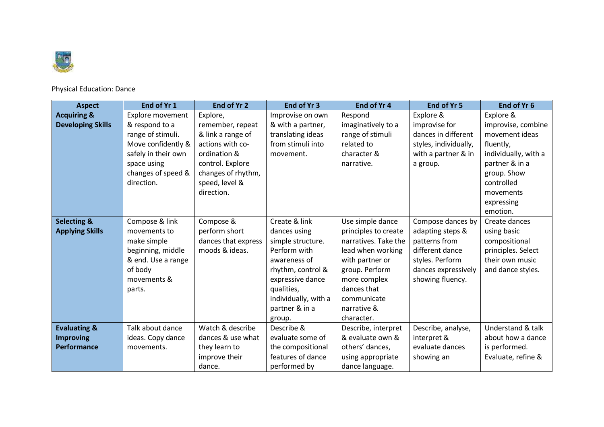

Physical Education: Dance

| <b>Aspect</b>            | End of Yr 1             | End of Yr 2         | End of Yr 3          | End of Yr 4          | End of Yr 5           | End of Yr 6          |
|--------------------------|-------------------------|---------------------|----------------------|----------------------|-----------------------|----------------------|
| <b>Acquiring &amp;</b>   | <b>Explore movement</b> | Explore,            | Improvise on own     | Respond              | Explore &             | Explore &            |
| <b>Developing Skills</b> | & respond to a          | remember, repeat    | & with a partner,    | imaginatively to a   | improvise for         | improvise, combine   |
|                          | range of stimuli.       | & link a range of   | translating ideas    | range of stimuli     | dances in different   | movement ideas       |
|                          | Move confidently &      | actions with co-    | from stimuli into    | related to           | styles, individually, | fluently,            |
|                          | safely in their own     | ordination &        | movement.            | character &          | with a partner & in   | individually, with a |
|                          | space using             | control. Explore    |                      | narrative.           | a group.              | partner & in a       |
|                          | changes of speed &      | changes of rhythm,  |                      |                      |                       | group. Show          |
|                          | direction.              | speed, level &      |                      |                      |                       | controlled           |
|                          |                         | direction.          |                      |                      |                       | movements            |
|                          |                         |                     |                      |                      |                       | expressing           |
|                          |                         |                     |                      |                      |                       | emotion.             |
| <b>Selecting &amp;</b>   | Compose & link          | Compose &           | Create & link        | Use simple dance     | Compose dances by     | Create dances        |
| <b>Applying Skills</b>   | movements to            | perform short       | dances using         | principles to create | adapting steps &      | using basic          |
|                          | make simple             | dances that express | simple structure.    | narratives. Take the | patterns from         | compositional        |
|                          | beginning, middle       | moods & ideas.      | Perform with         | lead when working    | different dance       | principles. Select   |
|                          | & end. Use a range      |                     | awareness of         | with partner or      | styles. Perform       | their own music      |
|                          | of body                 |                     | rhythm, control &    | group. Perform       | dances expressively   | and dance styles.    |
|                          | movements &             |                     | expressive dance     | more complex         | showing fluency.      |                      |
|                          | parts.                  |                     | qualities,           | dances that          |                       |                      |
|                          |                         |                     | individually, with a | communicate          |                       |                      |
|                          |                         |                     | partner & in a       | narrative &          |                       |                      |
|                          |                         |                     | group.               | character.           |                       |                      |
| <b>Evaluating &amp;</b>  | Talk about dance        | Watch & describe    | Describe &           | Describe, interpret  | Describe, analyse,    | Understand & talk    |
| <b>Improving</b>         | ideas. Copy dance       | dances & use what   | evaluate some of     | & evaluate own &     | interpret &           | about how a dance    |
| Performance              | movements.              | they learn to       | the compositional    | others' dances,      | evaluate dances       | is performed.        |
|                          |                         | improve their       | features of dance    | using appropriate    | showing an            | Evaluate, refine &   |
|                          |                         | dance.              | performed by         | dance language.      |                       |                      |